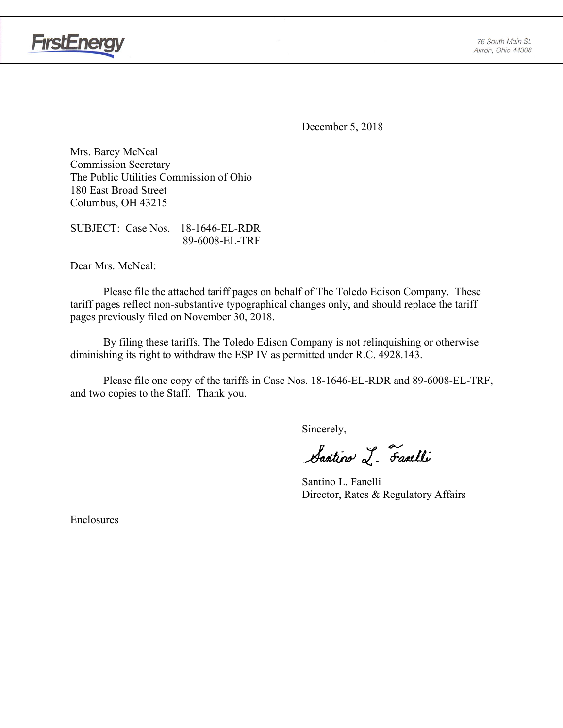

**FirstEnergy** 

December 5, 2018

Mrs. Barcy McNeal Commission Secretary The Public Utilities Commission of Ohio 180 East Broad Street Columbus, OH 43215

SUBJECT: Case Nos. 18-1646-EL-RDR 89-6008-EL-TRF

Dear Mrs. McNeal:

 Please file the attached tariff pages on behalf of The Toledo Edison Company. These tariff pages reflect non-substantive typographical changes only, and should replace the tariff pages previously filed on November 30, 2018.

By filing these tariffs, The Toledo Edison Company is not relinquishing or otherwise diminishing its right to withdraw the ESP IV as permitted under R.C. 4928.143.

Please file one copy of the tariffs in Case Nos. 18-1646-EL-RDR and 89-6008-EL-TRF, and two copies to the Staff. Thank you.

Sincerely,

Santino L. Farelli

 Santino L. Fanelli Director, Rates & Regulatory Affairs

Enclosures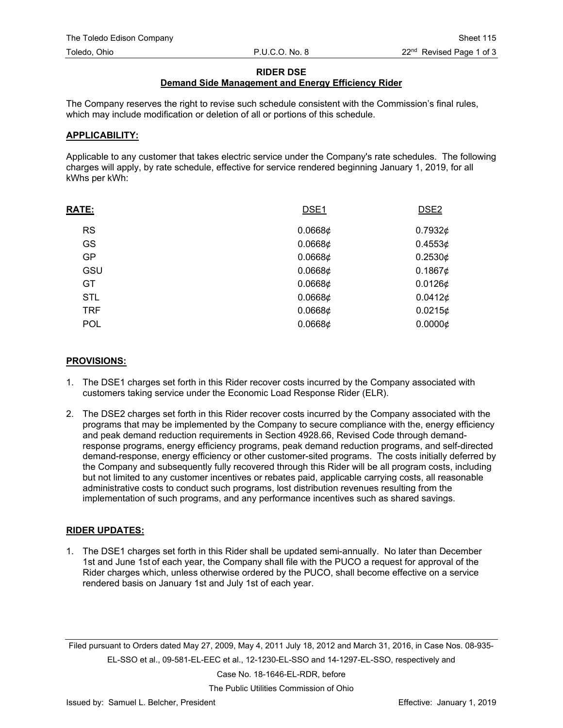#### **RIDER DSE**

## **Demand Side Management and Energy Efficiency Rider**

The Company reserves the right to revise such schedule consistent with the Commission's final rules, which may include modification or deletion of all or portions of this schedule.

#### **APPLICABILITY:**

Applicable to any customer that takes electric service under the Company's rate schedules. The following charges will apply, by rate schedule, effective for service rendered beginning January 1, 2019, for all kWhs per kWh:

| <b>RATE:</b> | DSE <sub>1</sub> | DSE <sub>2</sub> |
|--------------|------------------|------------------|
| <b>RS</b>    | 0.06686          | 0.7932 $\phi$    |
| GS           | 0.0668¢          | 0.4553¢          |
| <b>GP</b>    | 0.0668¢          | 0.2530¢          |
| GSU          | 0.0668¢          | 0.1867¢          |
| <b>GT</b>    | 0.06686          | $0.0126$ ¢       |
| <b>STL</b>   | 0.06686          | 0.0412¢          |
| <b>TRF</b>   | 0.06686          | 0.0215¢          |
| <b>POL</b>   | 0.06686          | 0.00006          |
|              |                  |                  |

#### **PROVISIONS:**

- 1. The DSE1 charges set forth in this Rider recover costs incurred by the Company associated with customers taking service under the Economic Load Response Rider (ELR).
- 2. The DSE2 charges set forth in this Rider recover costs incurred by the Company associated with the programs that may be implemented by the Company to secure compliance with the, energy efficiency and peak demand reduction requirements in Section 4928.66, Revised Code through demandresponse programs, energy efficiency programs, peak demand reduction programs, and self-directed demand-response, energy efficiency or other customer-sited programs. The costs initially deferred by the Company and subsequently fully recovered through this Rider will be all program costs, including but not limited to any customer incentives or rebates paid, applicable carrying costs, all reasonable administrative costs to conduct such programs, lost distribution revenues resulting from the implementation of such programs, and any performance incentives such as shared savings.

### **RIDER UPDATES:**

1. The DSE1 charges set forth in this Rider shall be updated semi-annually. No later than December 1st and June 1st of each year, the Company shall file with the PUCO a request for approval of the Rider charges which, unless otherwise ordered by the PUCO, shall become effective on a service rendered basis on January 1st and July 1st of each year.

Filed pursuant to Orders dated May 27, 2009, May 4, 2011 July 18, 2012 and March 31, 2016, in Case Nos. 08-935- EL-SSO et al., 09-581-EL-EEC et al., 12-1230-EL-SSO and 14-1297-EL-SSO, respectively and

Case No. 18-1646-EL-RDR, before

The Public Utilities Commission of Ohio